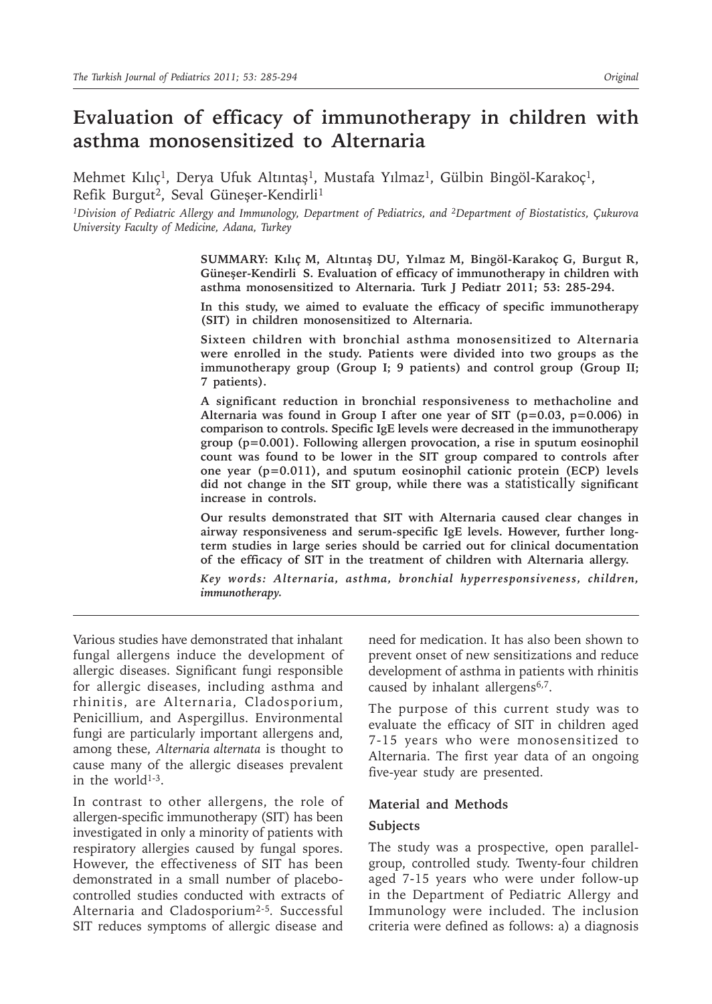# **Evaluation of efficacy of immunotherapy in children with asthma monosensitized to Alternaria**

Mehmet Kılıç<sup>1</sup>, Derya Ufuk Altıntaş<sup>1</sup>, Mustafa Yılmaz<sup>1</sup>, Gülbin Bingöl-Karakoç<sup>1</sup>, Refik Burgut<sup>2</sup>, Seval Güneşer-Kendirli<sup>1</sup>

*1Division of Pediatric Allergy and Immunology, Department of Pediatrics, and 2Department of Biostatistics, Çukurova University Faculty of Medicine, Adana, Turkey*

> **SUMMARY: Kılıç M, Altıntaş DU, Yılmaz M, Bingöl-Karakoç G, Burgut R, Güneşer-Kendirli S. Evaluation of efficacy of immunotherapy in children with asthma monosensitized to Alternaria. Turk J Pediatr 2011; 53: 285-294.**

> **In this study, we aimed to evaluate the efficacy of specific immunotherapy (SIT) in children monosensitized to Alternaria.**

> **Sixteen children with bronchial asthma monosensitized to Alternaria were enrolled in the study. Patients were divided into two groups as the immunotherapy group (Group I; 9 patients) and control group (Group II; 7 patients).**

> **A significant reduction in bronchial responsiveness to methacholine and Alternaria was found in Group I after one year of SIT (p=0.03, p=0.006) in comparison to controls. Specific IgE levels were decreased in the immunotherapy group (p=0.001). Following allergen provocation, a rise in sputum eosinophil count was found to be lower in the SIT group compared to controls after one year (p=0.011), and sputum eosinophil cationic protein (ECP) levels did not change in the SIT group, while there was a** statistically **significant increase in controls.**

> **Our results demonstrated that SIT with Alternaria caused clear changes in airway responsiveness and serum-specific IgE levels. However, further longterm studies in large series should be carried out for clinical documentation of the efficacy of SIT in the treatment of children with Alternaria allergy.**

> *Key words: Alternaria, asthma, bronchial hyperresponsiveness, children, immunotherapy.*

Various studies have demonstrated that inhalant fungal allergens induce the development of allergic diseases. Significant fungi responsible for allergic diseases, including asthma and rhinitis, are Alternaria, Cladosporium, Penicillium, and Aspergillus. Environmental fungi are particularly important allergens and, among these, *Alternaria alternata* is thought to cause many of the allergic diseases prevalent in the world<sup>1-3</sup>.

In contrast to other allergens, the role of allergen-specific immunotherapy (SIT) has been investigated in only a minority of patients with respiratory allergies caused by fungal spores. However, the effectiveness of SIT has been demonstrated in a small number of placebocontrolled studies conducted with extracts of Alternaria and Cladosporium2-5*.* Successful SIT reduces symptoms of allergic disease and need for medication. It has also been shown to prevent onset of new sensitizations and reduce development of asthma in patients with rhinitis caused by inhalant allergens<sup>6,7</sup>.

The purpose of this current study was to evaluate the efficacy of SIT in children aged 7-15 years who were monosensitized to Alternaria. The first year data of an ongoing five-year study are presented.

#### **Material and Methods**

#### **Subjects**

The study was a prospective, open parallelgroup, controlled study. Twenty-four children aged 7-15 years who were under follow-up in the Department of Pediatric Allergy and Immunology were included. The inclusion criteria were defined as follows: a) a diagnosis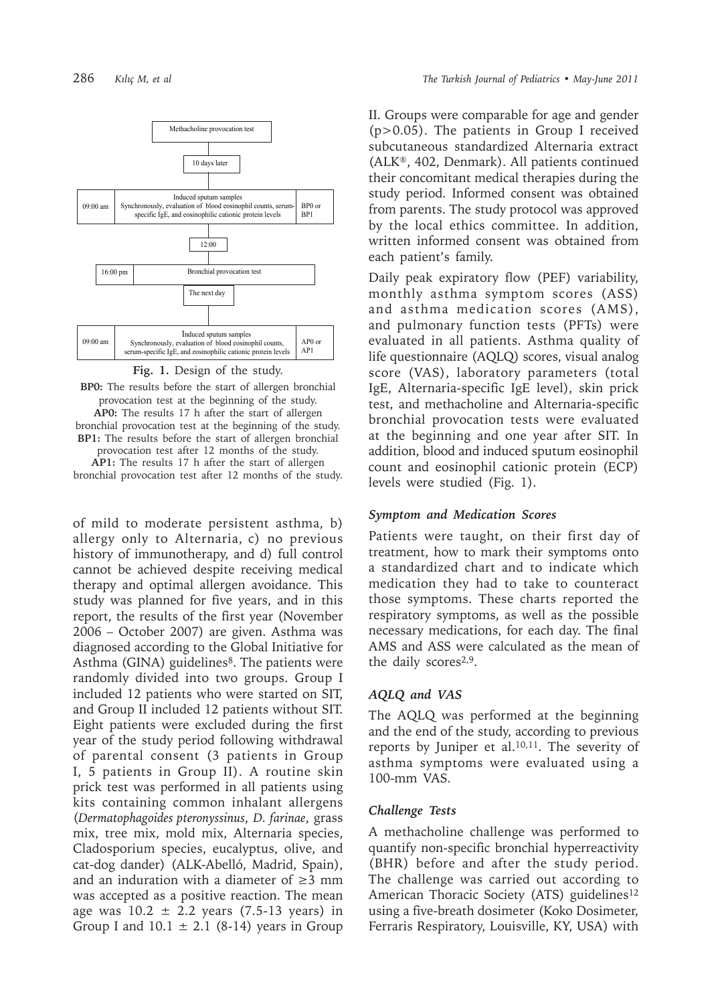

**Fig. 1.** Design of the study.

**BP0:** The results before the start of allergen bronchial provocation test at the beginning of the study. **AP0:** The results 17 h after the start of allergen bronchial provocation test at the beginning of the study. **BP1:** The results before the start of allergen bronchial provocation test after 12 months of the study. **AP1:** The results 17 h after the start of allergen bronchial provocation test after 12 months of the study.

of mild to moderate persistent asthma, b) allergy only to Alternaria, c) no previous history of immunotherapy, and d) full control cannot be achieved despite receiving medical therapy and optimal allergen avoidance. This study was planned for five years, and in this report, the results of the first year (November 2006 – October 2007) are given. Asthma was diagnosed according to the Global Initiative for 18 Asthma (GINA) guidelines<sup>8</sup>. The patients were randomly divided into two groups. Group I included 12 patients who were started on SIT, and Group II included 12 patients without SIT. Eight patients were excluded during the first year of the study period following withdrawal of parental consent (3 patients in Group I, 5 patients in Group II). A routine skin prick test was performed in all patients using kits containing common inhalant allergens (*Dermatophagoides pteronyssinus*, *D. farinae*, grass mix, tree mix, mold mix, Alternaria species, Cladosporium species, eucalyptus, olive, and cat-dog dander) (ALK-Abelló, Madrid, Spain), and an induration with a diameter of  $\geq$ 3 mm was accepted as a positive reaction. The mean age was  $10.2 \pm 2.2$  years (7.5-13 years) in Group I and  $10.1 \pm 2.1$  (8-14) years in Group

II. Groups were comparable for age and gender (p>0.05). The patients in Group I received subcutaneous standardized Alternaria extract (ALK®, 402, Denmark). All patients continued their concomitant medical therapies during the study period. Informed consent was obtained from parents. The study protocol was approved by the local ethics committee. In addition, written informed consent was obtained from each patient's family.

Daily peak expiratory flow (PEF) variability, monthly asthma symptom scores (ASS) and asthma medication scores (AMS), and pulmonary function tests (PFTs) were evaluated in all patients. Asthma quality of life questionnaire (AQLQ) scores, visual analog score (VAS), laboratory parameters (total IgE, Alternaria-specific IgE level), skin prick test, and methacholine and Alternaria-specific bronchial provocation tests were evaluated at the beginning and one year after SIT. In addition, blood and induced sputum eosinophil count and eosinophil cationic protein (ECP) levels were studied (Fig. 1).

#### *Symptom and Medication Scores*

Patients were taught, on their first day of treatment, how to mark their symptoms onto a standardized chart and to indicate which medication they had to take to counteract those symptoms. These charts reported the respiratory symptoms, as well as the possible necessary medications, for each day. The final AMS and ASS were calculated as the mean of the daily scores<sup>2,9</sup>.

## *AQLQ and VAS*

The AQLQ was performed at the beginning and the end of the study, according to previous reports by Juniper et al.<sup>10,11</sup>. The severity of asthma symptoms were evaluated using a 100-mm VAS.

#### *Challenge Tests*

A methacholine challenge was performed to quantify non-specific bronchial hyperreactivity (BHR) before and after the study period. The challenge was carried out according to American Thoracic Society (ATS) guidelines<sup>12</sup> using a five-breath dosimeter (Koko Dosimeter, Ferraris Respiratory, Louisville, KY, USA) with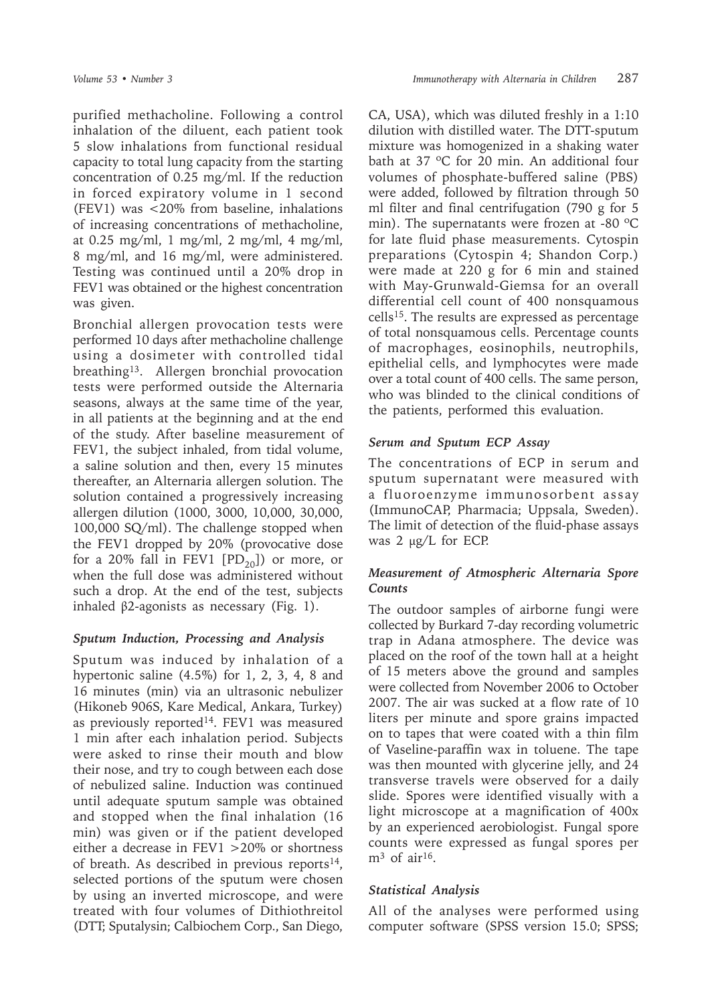purified methacholine. Following a control inhalation of the diluent, each patient took 5 slow inhalations from functional residual capacity to total lung capacity from the starting concentration of 0.25 mg/ml. If the reduction in forced expiratory volume in 1 second (FEV1) was <20% from baseline, inhalations of increasing concentrations of methacholine, at 0.25 mg/ml, 1 mg/ml, 2 mg/ml, 4 mg/ml, 8 mg/ml, and 16 mg/ml, were administered. Testing was continued until a 20% drop in FEV1 was obtained or the highest concentration was given.

Bronchial allergen provocation tests were performed 10 days after methacholine challenge using a dosimeter with controlled tidal breathing<sup>13</sup>. Allergen bronchial provocation tests were performed outside the Alternaria seasons, always at the same time of the year, in all patients at the beginning and at the end of the study. After baseline measurement of FEV1, the subject inhaled, from tidal volume, a saline solution and then, every 15 minutes thereafter, an Alternaria allergen solution. The solution contained a progressively increasing allergen dilution (1000, 3000, 10,000, 30,000, 100,000 SQ/ml). The challenge stopped when the FEV1 dropped by 20% (provocative dose for a 20% fall in FEV1  $[PD_{20}]$ ) or more, or when the full dose was administered without such a drop. At the end of the test, subjects inhaled  $β2$ -agonists as necessary (Fig. 1).

## *Sputum Induction, Processing and Analysis*

Sputum was induced by inhalation of a hypertonic saline (4.5%) for 1, 2, 3, 4, 8 and 16 minutes (min) via an ultrasonic nebulizer (Hikoneb 906S, Kare Medical, Ankara, Turkey) as previously reported<sup>14</sup>. FEV1 was measured 1 min after each inhalation period. Subjects were asked to rinse their mouth and blow their nose, and try to cough between each dose of nebulized saline. Induction was continued until adequate sputum sample was obtained and stopped when the final inhalation (16 min) was given or if the patient developed either a decrease in FEV1 >20% or shortness of breath. As described in previous reports $14$ , selected portions of the sputum were chosen by using an inverted microscope, and were treated with four volumes of Dithiothreitol (DTT; Sputalysin; Calbiochem Corp., San Diego, CA, USA), which was diluted freshly in a 1:10 dilution with distilled water. The DTT-sputum mixture was homogenized in a shaking water bath at 37 ºC for 20 min. An additional four volumes of phosphate-buffered saline (PBS) were added, followed by filtration through 50 ml filter and final centrifugation (790 g for 5 min). The supernatants were frozen at -80  $^{\circ}$ C for late fluid phase measurements. Cytospin preparations (Cytospin 4; Shandon Corp.) were made at 220 g for 6 min and stained with May-Grunwald-Giemsa for an overall differential cell count of 400 nonsquamous cells15. The results are expressed as percentage of total nonsquamous cells. Percentage counts of macrophages, eosinophils, neutrophils, epithelial cells, and lymphocytes were made over a total count of 400 cells. The same person, who was blinded to the clinical conditions of the patients, performed this evaluation.

# *Serum and Sputum ECP Assay*

The concentrations of ECP in serum and sputum supernatant were measured with a fluoroenzyme immunosorbent assay (ImmunoCAP, Pharmacia; Uppsala, Sweden). The limit of detection of the fluid-phase assays was 2 µg/L for ECP.

# *Measurement of Atmospheric Alternaria Spore Counts*

The outdoor samples of airborne fungi were collected by Burkard 7-day recording volumetric trap in Adana atmosphere. The device was placed on the roof of the town hall at a height of 15 meters above the ground and samples were collected from November 2006 to October 2007. The air was sucked at a flow rate of 10 liters per minute and spore grains impacted on to tapes that were coated with a thin film of Vaseline-paraffin wax in toluene. The tape was then mounted with glycerine jelly, and 24 transverse travels were observed for a daily slide. Spores were identified visually with a light microscope at a magnification of 400x by an experienced aerobiologist. Fungal spore counts were expressed as fungal spores per  $m<sup>3</sup>$  of air<sup>16</sup>.

# *Statistical Analysis*

All of the analyses were performed using computer software (SPSS version 15.0; SPSS;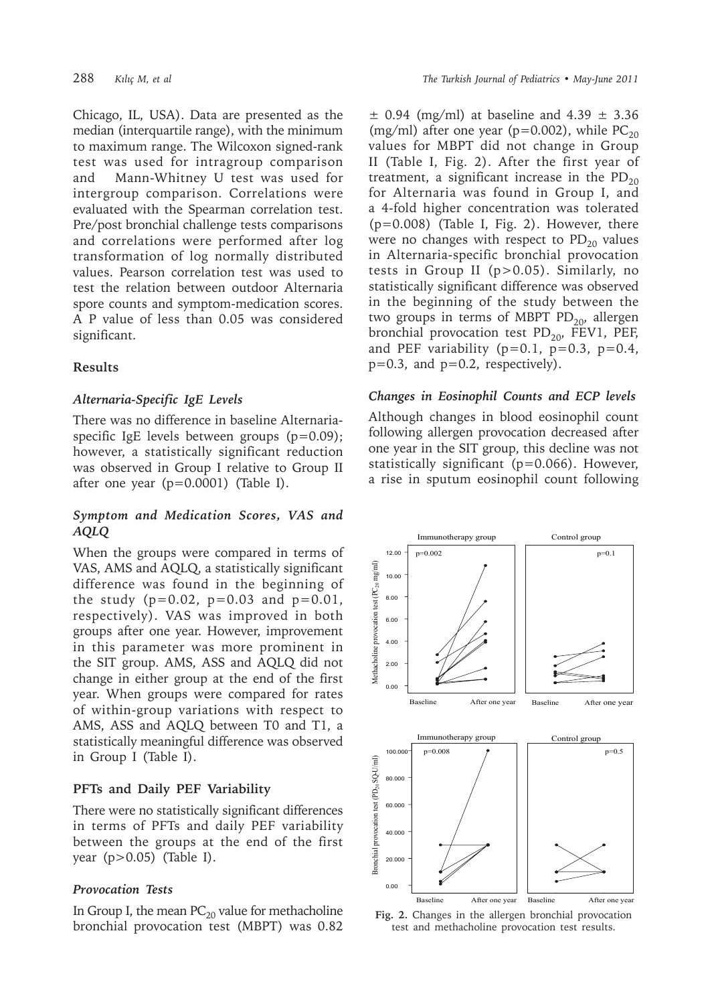Chicago, IL, USA). Data are presented as the median (interquartile range), with the minimum to maximum range. The Wilcoxon signed-rank test was used for intragroup comparison and Mann-Whitney U test was used for intergroup comparison. Correlations were evaluated with the Spearman correlation test. Pre/post bronchial challenge tests comparisons and correlations were performed after log transformation of log normally distributed values. Pearson correlation test was used to test the relation between outdoor Alternaria spore counts and symptom-medication scores. A P value of less than 0.05 was considered significant.

## **Results**

## *Alternaria-Specific IgE Levels*

There was no difference in baseline Alternariaspecific IgE levels between groups (p=0.09); however, a statistically significant reduction was observed in Group I relative to Group II after one year  $(p=0.0001)$  (Table I).

## *Symptom and Medication Scores, VAS and AQLQ*

When the groups were compared in terms of VAS, AMS and AQLQ, a statistically significant difference was found in the beginning of the study ( $p=0.02$ ,  $p=0.03$  and  $p=0.01$ , respectively). VAS was improved in both groups after one year. However, improvement in this parameter was more prominent in the SIT group. AMS, ASS and AQLQ did not change in either group at the end of the first year. When groups were compared for rates of within-group variations with respect to AMS, ASS and AQLQ between T0 and T1, a statistically meaningful difference was observed in Group I (Table I).

## **PFTs and Daily PEF Variability**

There were no statistically significant differences in terms of PFTs and daily PEF variability between the groups at the end of the first year (p>0.05) (Table I).

## *Provocation Tests*

In Group I, the mean  $PC_{20}$  value for methacholine bronchial provocation test (MBPT) was 0.82

 $\pm$  0.94 (mg/ml) at baseline and 4.39  $\pm$  3.36 (mg/ml) after one year (p=0.002), while  $PC_{20}$ values for MBPT did not change in Group II (Table I, Fig. 2). After the first year of treatment, a significant increase in the  $PD_{20}$ for Alternaria was found in Group I, and a 4-fold higher concentration was tolerated (p=0.008) (Table I, Fig. 2). However, there were no changes with respect to  $PD_{20}$  values in Alternaria-specific bronchial provocation tests in Group II (p>0.05). Similarly, no statistically significant difference was observed in the beginning of the study between the two groups in terms of MBPT PD $_{20}$ , allergen bronchial provocation test  $PD_{20}$ , FEV1, PEF, and PEF variability  $(p=0.1, p=0.3, p=0.4,$  $p=0.3$ , and  $p=0.2$ , respectively).

#### *Changes in Eosinophil Counts and ECP levels*

Although changes in blood eosinophil count following allergen provocation decreased after one year in the SIT group, this decline was not statistically significant (p=0.066). However, a rise in sputum eosinophil count following



**Fig. 2.** Changes in the allergen bronchial provocation test and methacholine provocation test results.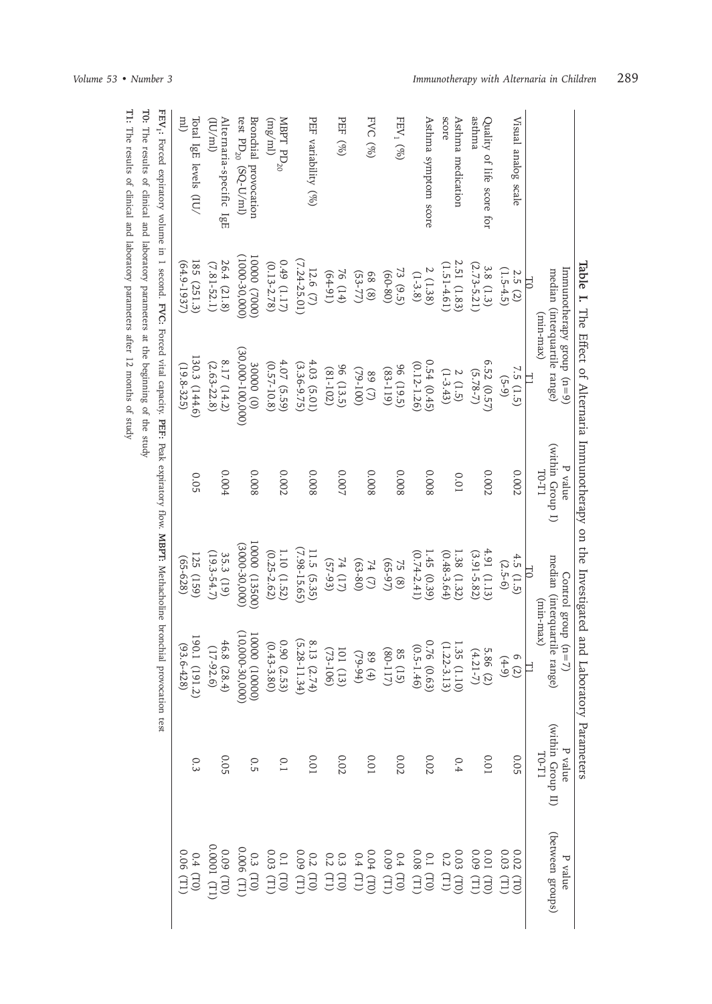|                                                                                                                                                |                                                                              | Table I. The Effect of Alternaria Immunotherapy on the Investigated and Laboratory Parameters |                                           |                                                     |                                                                                                                                                                               |                                       |                                                                                     |
|------------------------------------------------------------------------------------------------------------------------------------------------|------------------------------------------------------------------------------|-----------------------------------------------------------------------------------------------|-------------------------------------------|-----------------------------------------------------|-------------------------------------------------------------------------------------------------------------------------------------------------------------------------------|---------------------------------------|-------------------------------------------------------------------------------------|
|                                                                                                                                                | Immunotherapy group (n=9)<br>median (interquartile range)<br>FQ<br>(xam-max) | ᄇ                                                                                             | (within Group I)<br>P value<br>$10$ $\!1$ | median (interquartile range)<br>$\Xi$<br>(xnin-max) | Control group $(n=7)$                                                                                                                                                         | (Within Group II)<br>P value<br>LL-01 | (between groups)<br>7<br>value                                                      |
| Visual analog scale                                                                                                                            | $(1.5-4.5)$<br>2.5(2)                                                        | 7.5 (1.5)<br>$(5-9)$                                                                          | 0.002                                     | 4.5 $(1.5)$<br>$(2.5-6)$                            | 6(2)<br>$(4-9)$                                                                                                                                                               | 0.05                                  | 0.03<br>0.02<br>$\begin{pmatrix} 1 & 1 \end{pmatrix}$<br>(L)                        |
| asthma<br>Quality of life score for                                                                                                            | $(2.73 - 5.21)$<br>3.8 (1.3)                                                 | 6.52 $(0.57)$<br>$(5.78 - 7)$                                                                 | 0.002                                     | 4.91 (1.13)<br>$(3.91 - 5.82)$                      | 5.86 (2)<br>$(4.21 - 7)$                                                                                                                                                      | 0.01                                  | $0.01$<br>0.09<br><b>CED</b>                                                        |
| score<br>Asthma medication                                                                                                                     | 2.51 (1.83)<br>$(1.51 - 4.61)$                                               | $(1-3.43)$<br>2(1.5)                                                                          | 0.01                                      | 1.38 (1.32)<br>$(0.48-3.64)$                        | 1.35 $(1.10)$<br>(1.22-3.13)                                                                                                                                                  | 0.4                                   |                                                                                     |
| Asthma symptom score                                                                                                                           | 2 (1.38)<br>$(1 - 3.8)$                                                      | 0.54(0.45)<br>$(0.12 - 1.26)$                                                                 | 800.0                                     | $(0.74 - 2.41)$<br>1.45(0.39)                       | $0.76$ (0.63)<br>(0.5-1.46)                                                                                                                                                   | 0.02                                  |                                                                                     |
| FEV <sub>1</sub> $(\%)$                                                                                                                        | 73(9.5)<br>$(08-09)$                                                         | 96(19.5)<br>$(611-8)$                                                                         | 800.0                                     | $(65-97)$<br>75 (8)                                 | $(80 - 117)$<br>85 (15)                                                                                                                                                       | $0.02$                                | 0.03 (TO)<br>0.2 (TI)<br>0.2 (TI)<br>0.08 (TI)<br>0.04 (TI)<br>0.4 (TI)<br>0.4 (TI) |
| FVC $(\%)$                                                                                                                                     | $(53 - 77)$<br>68(8)                                                         | $(29 - 100)$<br>(L) 68                                                                        | 800.0                                     | $74 (7)$<br>(63-80)                                 | $(10-94)$<br>(b) 68                                                                                                                                                           | 0.01                                  | $\begin{pmatrix} 1 & 0 \\ 0 & 1 \end{pmatrix}$                                      |
| PEF (%)                                                                                                                                        | 76 (14)<br>$(16-1)$                                                          | 96 (13.5)<br>$(81 - 102)$                                                                     | 0.007                                     | $74 (17)$<br>(57-93)                                | $101(13)$<br>(73-106)                                                                                                                                                         | 0.02                                  | $\begin{array}{c} 0.3 \\ 0.2 \end{array}$                                           |
| PEF variability (%)                                                                                                                            | $(7.24 - 25.01)$<br>12.6 $(7)$                                               | 4.03 (5.01)<br>(3.36-9.75)                                                                    | 800.0                                     | $(7.98 - 15.65)$<br>11.5 (5.35)                     |                                                                                                                                                                               | 0.01                                  | $\begin{array}{c} 0.2 \\ 0.09 \end{array}$                                          |
| MBPT ${\rm PD}_{20}$<br>$(\mathrm{mg/m})$                                                                                                      | $0.49$ (1.17)<br>$(0.13 - 2.78)$                                             | 4.07 (5.59)<br>$(0.57 - 10.8)$                                                                | 0.002                                     | $(0.25 - 2.62)$<br>1.10(1.52)                       | $\begin{array}{l} 8.13\ \, (5.28\text{--}1.34)\\ (5.28\text{--}1.34)\\ (0.43\text{--}3.80)\\ (0.43\text{--}3.80)\\ (0.43\text{--}3.80)\\ (10,000\text{--}30,000) \end{array}$ | $\overline{C}$                        | $\begin{array}{c} 0.1 \\ 0.03 \end{array}$<br>$\sum_{i=1}^{n}$                      |
| test PD <sub>20</sub> (SQ-U/ml)<br>Bronchial provocation                                                                                       | $(1000-30,000)$<br>(0002) 00001                                              | $(30,000 - 100,000)$<br>30000 (0)                                                             | 800.0                                     | 10000 (13500)<br>$(3000 - 30, 000)$                 |                                                                                                                                                                               | 0.5                                   | $0.3$ (TO)<br>0.006 (T1)                                                            |
| Alternaria-specific IgE<br>$(\text{Im}/\text{Im})$                                                                                             | 26.4 (21.8)<br>$(7.81 - 52.1)$                                               | 8.17 $(14.2)$<br>$(2.63 - 22.8)$                                                              | 0.004                                     | $(19.3 - 54.7)$<br>35.3 (19)                        | 46.8 $(28.4)$<br>(17-92.6)                                                                                                                                                    | <b>0.05</b>                           | 0.0001 (T]<br>0.09                                                                  |
| ml)<br>Total IgE levels (IU/                                                                                                                   | 185 (251.3)<br>$(64.9 - 1937)$                                               | 130.3 (144.6)<br>$(19.8 - 325)$                                                               | 0.05                                      | 125 (159)<br>$(65 - 628)$                           | $190.1$ (191.2)<br>(93.6-428)                                                                                                                                                 | 0.3                                   | 0.06 (T1<br>$0.4$ (TO)                                                              |
| FEV, Forced expiratory volume in 1 second. FVC: Forced viral capacity, PEF: Peak expiratory flow. MBPT: MeUnderlogine broncol provocation test |                                                                              |                                                                                               |                                           |                                                     |                                                                                                                                                                               |                                       |                                                                                     |
|                                                                                                                                                |                                                                              |                                                                                               |                                           |                                                     |                                                                                                                                                                               |                                       |                                                                                     |

**FEV1:** Forced expiratory volume in 1 second. cyptratory volum  $\mathbf{r}$   $\mathbf{m}$ Į Ĕ **FVC:** Forced vital capacity. è v 1t d.1 Peperty: **IPI:** I can Peak expiratory flow. CAPITATOR HOW, INDE L. **IVICLIIC** ilite bioticiliai provocation test

T0: The results of clinical and laboratory parameters at the beginning of the study The results of clinical and laboratory parameters at the beginning of the study T1: The results of clinical and laboratory parameters after 12 months of study The results of clinical and laboratory parameters after 12 months of study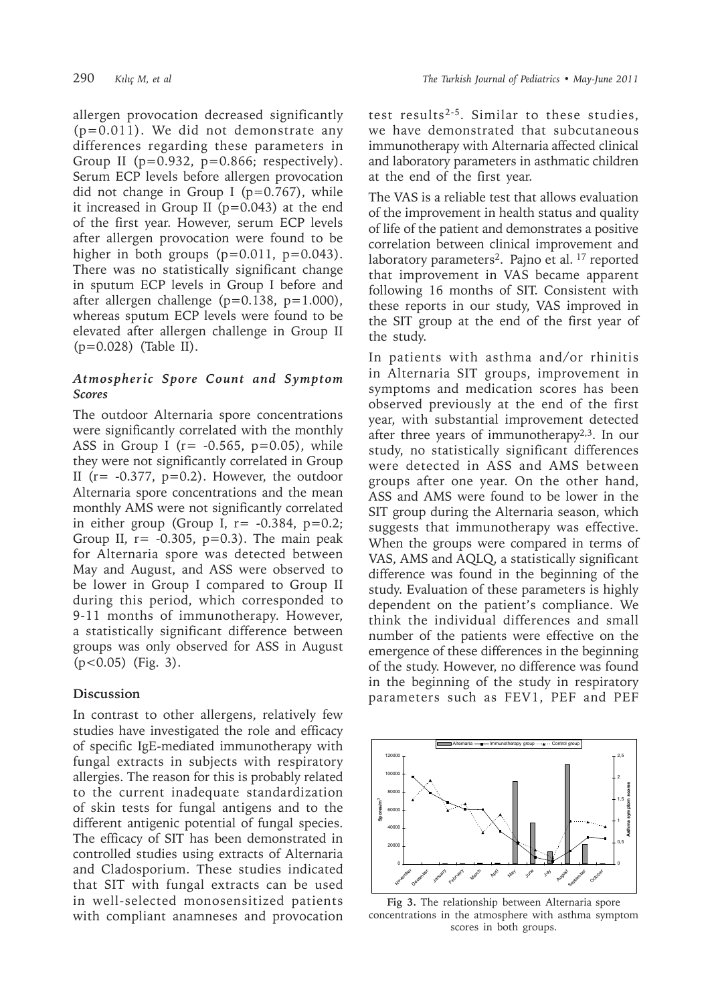allergen provocation decreased significantly (p=0.011). We did not demonstrate any differences regarding these parameters in Group II (p=0.932, p=0.866; respectively). Serum ECP levels before allergen provocation did not change in Group I ( $p=0.767$ ), while it increased in Group II ( $p=0.043$ ) at the end of the first year. However, serum ECP levels after allergen provocation were found to be higher in both groups  $(p=0.011, p=0.043)$ . There was no statistically significant change in sputum ECP levels in Group I before and after allergen challenge ( $p=0.138$ ,  $p=1.000$ ), whereas sputum ECP levels were found to be elevated after allergen challenge in Group II (p=0.028) (Table II).

# *Atmospheric Spore Count and Symptom Scores*

The outdoor Alternaria spore concentrations were significantly correlated with the monthly ASS in Group I ( $r = -0.565$ ,  $p=0.05$ ), while they were not significantly correlated in Group II ( $r = -0.377$ ,  $p=0.2$ ). However, the outdoor Alternaria spore concentrations and the mean monthly AMS were not significantly correlated in either group (Group I,  $r = -0.384$ ,  $p=0.2$ ; Group II,  $r = -0.305$ ,  $p=0.3$ ). The main peak for Alternaria spore was detected between May and August, and ASS were observed to be lower in Group I compared to Group II during this period, which corresponded to 9-11 months of immunotherapy. However, a statistically significant difference between groups was only observed for ASS in August (p<0.05) (Fig. 3).

## **Discussion**

In contrast to other allergens, relatively few studies have investigated the role and efficacy of specific IgE-mediated immunotherapy with fungal extracts in subjects with respiratory allergies. The reason for this is probably related to the current inadequate standardization of skin tests for fungal antigens and to the different antigenic potential of fungal species. The efficacy of SIT has been demonstrated in controlled studies using extracts of Alternaria and Cladosporium. These studies indicated that SIT with fungal extracts can be used in well-selected monosensitized patients with compliant anamneses and provocation

test results2-5. Similar to these studies, we have demonstrated that subcutaneous immunotherapy with Alternaria affected clinical and laboratory parameters in asthmatic children at the end of the first year.

The VAS is a reliable test that allows evaluation of the improvement in health status and quality of life of the patient and demonstrates a positive correlation between clinical improvement and laboratory parameters<sup>2</sup>. Pajno et al. <sup>17</sup> reported that improvement in VAS became apparent following 16 months of SIT. Consistent with these reports in our study, VAS improved in the SIT group at the end of the first year of the study.

In patients with asthma and/or rhinitis in Alternaria SIT groups, improvement in symptoms and medication scores has been observed previously at the end of the first year, with substantial improvement detected after three years of immunotherapy $2,3$ . In our study, no statistically significant differences were detected in ASS and AMS between groups after one year. On the other hand, ASS and AMS were found to be lower in the SIT group during the Alternaria season, which suggests that immunotherapy was effective. When the groups were compared in terms of VAS, AMS and AQLQ, a statistically significant difference was found in the beginning of the study. Evaluation of these parameters is highly dependent on the patient's compliance. We think the individual differences and small number of the patients were effective on the emergence of these differences in the beginning of the study. However, no difference was found in the beginning of the study in respiratory parameters such as FEV1, PEF and PEF



**Fig 3.** The relationship between Alternaria spore concentrations in the atmosphere with asthma symptom scores in both groups.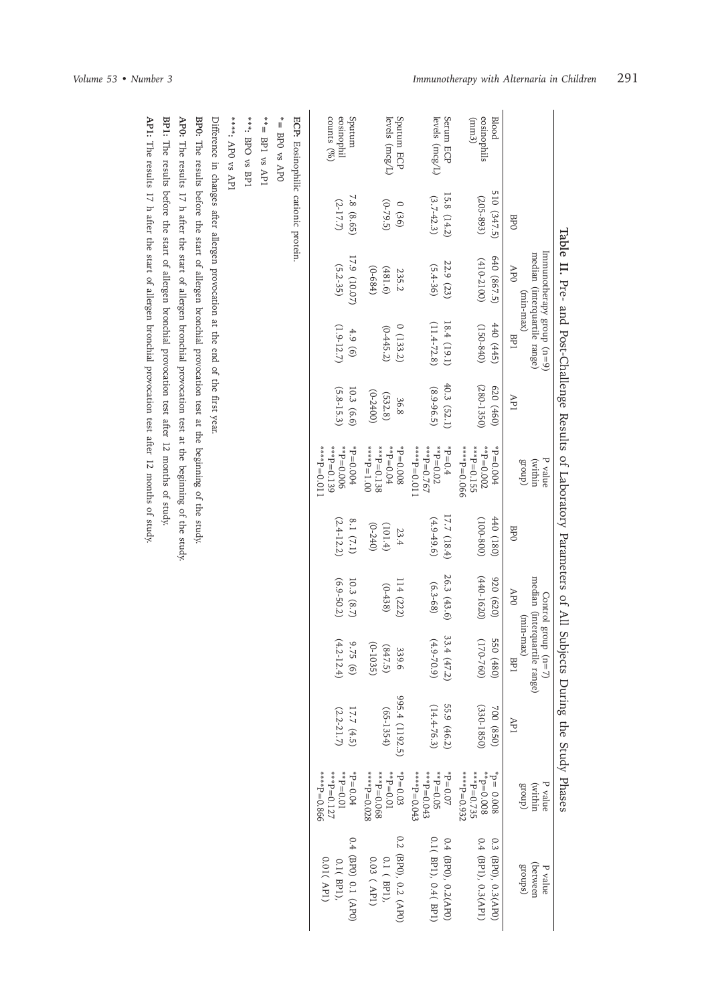|                                                             |                              | Table II. Pre- and Post-Challenge Results of Laboratory Parameters of All Subjects |                                |                                 |                                                                 |                               |                              |                                                                         | During the Study Phases         |                                                                   |                                                   |
|-------------------------------------------------------------|------------------------------|------------------------------------------------------------------------------------|--------------------------------|---------------------------------|-----------------------------------------------------------------|-------------------------------|------------------------------|-------------------------------------------------------------------------|---------------------------------|-------------------------------------------------------------------|---------------------------------------------------|
|                                                             | <b>BPO</b>                   | Immunotherapy group (n=9)<br>median (interquartile range)<br>APO<br>(xnin-max)     | BP1                            | API                             | $\left(\text{within}\right)$<br>P value<br>$($ dno. $13$        | <b>BPO</b>                    | APO                          | median (interquartile range)<br>Control group (n=7)<br>(min-max)<br>BP1 | API                             | (within<br>dno <sub>1</sub> 8<br>P value                          | (between<br>(sdno18)<br>P value                   |
| eosinophils<br><b>Blood</b><br>$\left( \mathrm{mm} \right)$ | 510 (347.5)<br>$(205 - 893)$ | 640 (867.5)<br>$(410-2100)$                                                        | $(0+8-051)$<br>440 (445)       | $(280 - 1350)$<br>620(460)      | $*_{P=0.002}$<br>***P=0.155<br>990'0=d****<br>$+0.0004$         | $(081) 0+1$<br>$(008 - 001)$  | $(440 - 1620)$<br>920 (620)  | 550 (480)<br>$(170 - 760)$                                              | $(330 - 1850)$<br>700 (850)     | ****P=0.932<br>$**P=0.735$<br>$*$ = 0.008<br>$10 = 0.008$         | 0.4 (BPI), 0.3(API)<br>0.3 (BPO), 0.3(APO)        |
| Serum ECP<br>levels $(mcg/L)$                               | $(3.7 - 42.3)$<br>15.8(14.2) | 22.9 (23)<br>$(5.4 - 36)$                                                          | $(11.4 - 72.8)$<br>18.4 (19.1) | 40.3 (52.1)<br>$(8.9 - 96.5)$   | $* * F = 0.767$<br>$A^*P = 0.02$<br>$+5=0.4$<br>$1100 - d$ **** | 17.7 (18.4)<br>$(4.9 - 49.6)$ | 26.3 (43.6)<br>$(6.3 - 68)$  | 33.4 (47.2)<br>$(4.9 - 70.9)$                                           | 55.9 (46.2)<br>$(14.4 - 76.3)$  | ***P=0.043<br>$H_{\ast\ast} = 0.05$<br>****P=0.043<br>$40 - 0.07$ | 0.1(BP1), 0.4(BP1<br>0.4 (BPO), 0.2(APO)          |
| Sputum ECP<br>levels $(mcg/L)$                              | $(6 - 79.5)$<br>0(36)        | $(0 - 684)$<br>(481.6)<br>235.2                                                    | 0(133.2)<br>$(0-445.2)$        | $(0 - 2400)$<br>(532.8)<br>36.8 | $001 = d***$<br>***P=0.138<br>$A^*P = 0.044$<br>$-9 - 0.008$    | $(0-240)$<br>(101.4)<br>23.4  | 114(222)<br>$(0-438)$        | $(0 - 1035)$<br>(847.5)<br>339.6                                        | 995.4 (1192.5)<br>$(65 - 1354)$ | $***P=0.068$<br>****P=0.028<br>$^{*}P = 0.03$<br>$* * D = 0.01$   | 0.2 (BP0), 0.2 (AP0)<br>0.1 (BPI),<br>0.03 ( API) |
| counts $(90)$<br>gputum<br>eosinophil                       | 7.8 (8.65)<br>$(2 - 17.7)$   | 17.9 (10.07)<br>$(5.2 - 35)$                                                       | $(1.9 - 12.7)$<br>4.9(6)       | $(5.8 - 15.3)$<br>10.3 (6.6)    | $*$ = 0.006<br>$1100 - d***$<br>***P=0.139<br>$+00.0044$        | 8.1 $(7.1)$<br>$(2.4 - 12.2)$ | $(6.9 - 50.2)$<br>10.3 (8.7) | $(4.2 - 12.4)$<br>9.75(6)                                               | 17.7 (4.5)<br>$(2.2 - 21.7)$    | ***P=0.127<br>$60.01*$<br>$+90.014*$<br>****P=0.866               | 0.4 (BP0) 0.1 (AP0)<br>0.01(API)<br>0.1(BPI),     |
| ECP: Eosinophilic cationic protein.<br>*= BPO vs APO        |                              |                                                                                    |                                |                                 |                                                                 |                               |                              |                                                                         |                                 |                                                                   |                                                   |
| $*$ = BP1 vs AP1                                            |                              |                                                                                    |                                |                                 |                                                                 |                               |                              |                                                                         |                                 |                                                                   |                                                   |
| ***: BPO vs BP1                                             |                              |                                                                                    |                                |                                 |                                                                 |                               |                              |                                                                         |                                 |                                                                   |                                                   |

\*\*\*: APO vs AP1 AP0 vs AP1

Difference in changes after allergen provocation at the end of the first year. Difference in changes after allergen provocation at the end of the first year.

BP0: The results before the start of allergen bronchial provocation test at the beginning of the study. The results before the start of allergen bronchial provocation test at the beginning of the study.

AP0: The results 17 h after the start of allergen bronchial provocation test at the beginning of the study, The results 17 h after the start of allergen bronchial provocation test at the beginning of the study.

**BP1:** The results before the start of allergen bronchial provocation test after 12 months of study. The results before the start of allergen bronchial provocation test after 12 months of study.

AP1: The results 17 h after the start of allergen bronchial provocation test after 12 months of study, The results 17 h after the start of allergen bronchial provocation test after 12 months of study.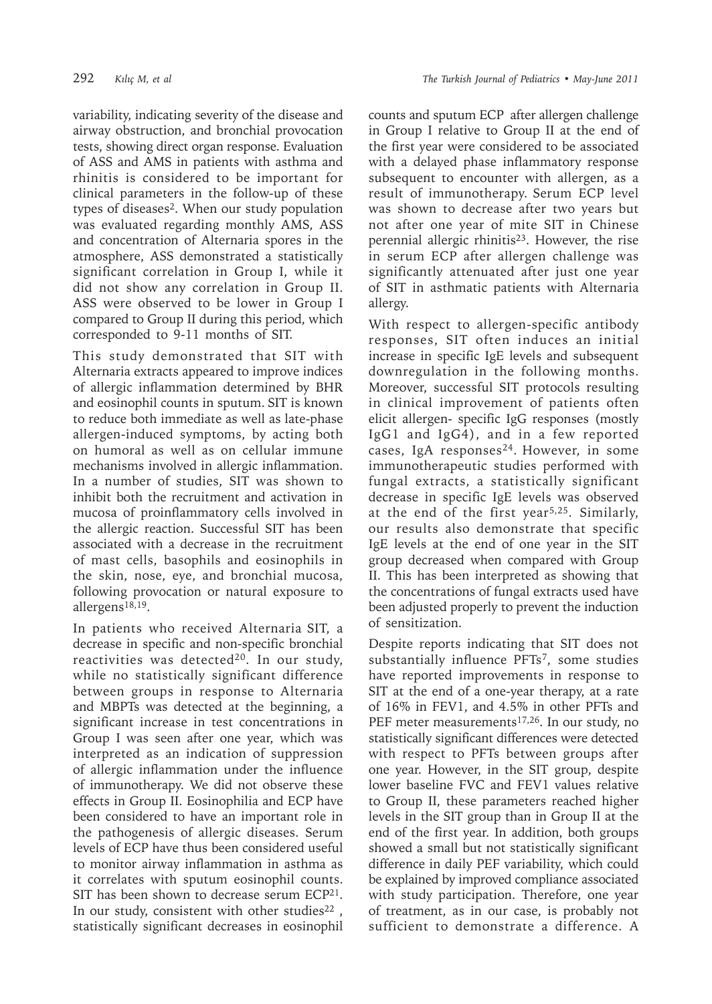variability, indicating severity of the disease and airway obstruction, and bronchial provocation tests, showing direct organ response. Evaluation of ASS and AMS in patients with asthma and rhinitis is considered to be important for clinical parameters in the follow-up of these types of diseases2. When our study population was evaluated regarding monthly AMS, ASS and concentration of Alternaria spores in the atmosphere, ASS demonstrated a statistically significant correlation in Group I, while it did not show any correlation in Group II. ASS were observed to be lower in Group I compared to Group II during this period, which corresponded to 9-11 months of SIT.

This study demonstrated that SIT with Alternaria extracts appeared to improve indices of allergic inflammation determined by BHR and eosinophil counts in sputum. SIT is known to reduce both immediate as well as late-phase allergen-induced symptoms, by acting both on humoral as well as on cellular immune mechanisms involved in allergic inflammation. In a number of studies, SIT was shown to inhibit both the recruitment and activation in mucosa of proinflammatory cells involved in the allergic reaction. Successful SIT has been associated with a decrease in the recruitment of mast cells, basophils and eosinophils in the skin, nose, eye, and bronchial mucosa, following provocation or natural exposure to allergens18,19.

In patients who received Alternaria SIT, a decrease in specific and non-specific bronchial reactivities was detected<sup>20</sup>. In our study, while no statistically significant difference between groups in response to Alternaria and MBPTs was detected at the beginning, a significant increase in test concentrations in Group I was seen after one year, which was interpreted as an indication of suppression of allergic inflammation under the influence of immunotherapy. We did not observe these effects in Group II. Eosinophilia and ECP have been considered to have an important role in the pathogenesis of allergic diseases. Serum levels of ECP have thus been considered useful to monitor airway inflammation in asthma as it correlates with sputum eosinophil counts. SIT has been shown to decrease serum  $ECP<sup>21</sup>$ . In our study, consistent with other studies $22$ statistically significant decreases in eosinophil

counts and sputum ECP after allergen challenge in Group I relative to Group II at the end of the first year were considered to be associated with a delayed phase inflammatory response subsequent to encounter with allergen, as a result of immunotherapy. Serum ECP level was shown to decrease after two years but not after one year of mite SIT in Chinese perennial allergic rhinitis<sup>23</sup>. However, the rise in serum ECP after allergen challenge was significantly attenuated after just one year of SIT in asthmatic patients with Alternaria allergy.

With respect to allergen-specific antibody responses, SIT often induces an initial increase in specific IgE levels and subsequent downregulation in the following months. Moreover, successful SIT protocols resulting in clinical improvement of patients often elicit allergen- specific IgG responses (mostly IgG1 and IgG4), and in a few reported cases, IgA responses24. However, in some immunotherapeutic studies performed with fungal extracts, a statistically significant decrease in specific IgE levels was observed at the end of the first year5,25. Similarly, our results also demonstrate that specific IgE levels at the end of one year in the SIT group decreased when compared with Group II. This has been interpreted as showing that the concentrations of fungal extracts used have been adjusted properly to prevent the induction of sensitization.

Despite reports indicating that SIT does not substantially influence PFTs7, some studies have reported improvements in response to SIT at the end of a one-year therapy, at a rate of 16% in FEV1, and 4.5% in other PFTs and PEF meter measurements<sup>17,26</sup>. In our study, no statistically significant differences were detected with respect to PFTs between groups after one year. However, in the SIT group, despite lower baseline FVC and FEV1 values relative to Group II, these parameters reached higher levels in the SIT group than in Group II at the end of the first year. In addition, both groups showed a small but not statistically significant difference in daily PEF variability, which could be explained by improved compliance associated with study participation. Therefore, one year of treatment, as in our case, is probably not sufficient to demonstrate a difference. A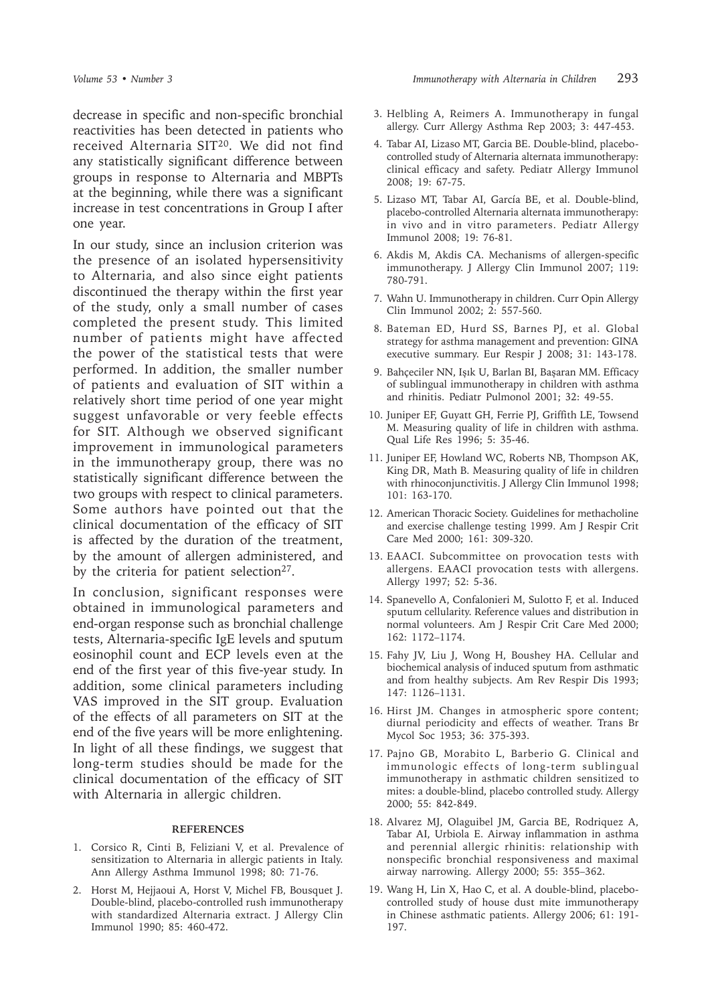decrease in specific and non-specific bronchial reactivities has been detected in patients who received Alternaria SIT20. We did not find any statistically significant difference between groups in response to Alternaria and MBPTs at the beginning, while there was a significant increase in test concentrations in Group I after one year.

In our study, since an inclusion criterion was the presence of an isolated hypersensitivity to Alternaria*,* and also since eight patients discontinued the therapy within the first year of the study, only a small number of cases completed the present study. This limited number of patients might have affected the power of the statistical tests that were performed. In addition, the smaller number of patients and evaluation of SIT within a relatively short time period of one year might suggest unfavorable or very feeble effects for SIT. Although we observed significant improvement in immunological parameters in the immunotherapy group, there was no statistically significant difference between the two groups with respect to clinical parameters. Some authors have pointed out that the clinical documentation of the efficacy of SIT is affected by the duration of the treatment, by the amount of allergen administered, and by the criteria for patient selection<sup>27</sup>.

In conclusion, significant responses were obtained in immunological parameters and end-organ response such as bronchial challenge tests, Alternaria-specific IgE levels and sputum eosinophil count and ECP levels even at the end of the first year of this five-year study. In addition, some clinical parameters including VAS improved in the SIT group. Evaluation of the effects of all parameters on SIT at the end of the five years will be more enlightening. In light of all these findings, we suggest that long-term studies should be made for the clinical documentation of the efficacy of SIT with Alternaria in allergic children.

#### **REFERENCES**

- 1. Corsico R, Cinti B, Feliziani V, et al. Prevalence of sensitization to Alternaria in allergic patients in Italy. Ann Allergy Asthma Immunol 1998; 80: 71-76.
- 2. Horst M, Hejjaoui A, Horst V, Michel FB, Bousquet J. Double-blind, placebo-controlled rush immunotherapy with standardized Alternaria extract. J Allergy Clin Immunol 1990; 85: 460-472.
- 3. Helbling A, Reimers A. Immunotherapy in fungal allergy. Curr Allergy Asthma Rep 2003; 3: 447-453.
- 4. Tabar AI, Lizaso MT, Garcia BE. Double-blind, placebocontrolled study of Alternaria alternata immunotherapy: clinical efficacy and safety. Pediatr Allergy Immunol 2008; 19: 67-75.
- 5. Lizaso MT, Tabar AI, García BE, et al. Double-blind, placebo-controlled Alternaria alternata immunotherapy: in vivo and in vitro parameters. Pediatr Allergy Immunol 2008; 19: 76-81.
- 6. Akdis M, Akdis CA. Mechanisms of allergen-specific immunotherapy. J Allergy Clin Immunol 2007; 119: 780-791.
- 7. Wahn U. Immunotherapy in children. Curr Opin Allergy Clin Immunol 2002; 2: 557-560.
- 8. Bateman ED, Hurd SS, Barnes PJ, et al. Global strategy for asthma management and prevention: GINA executive summary. Eur Respir J 2008; 31: 143-178.
- 9. Bahçeciler NN, Işık U, Barlan BI, Başaran MM. Efficacy of sublingual immunotherapy in children with asthma and rhinitis. Pediatr Pulmonol 2001; 32: 49-55.
- 10. Juniper EF, Guyatt GH, Ferrie PJ, Griffith LE, Towsend M. Measuring quality of life in children with asthma. Qual Life Res 1996; 5: 35-46.
- 11. Juniper EF, Howland WC, Roberts NB, Thompson AK, King DR, Math B. Measuring quality of life in children with rhinoconjunctivitis. J Allergy Clin Immunol 1998; 101: 163-170.
- 12. American Thoracic Society. Guidelines for methacholine and exercise challenge testing 1999. Am J Respir Crit Care Med 2000; 161: 309-320.
- 13. EAACI. Subcommittee on provocation tests with allergens. EAACI provocation tests with allergens. Allergy 1997; 52: 5-36.
- 14. Spanevello A, Confalonieri M, Sulotto F, et al. Induced sputum cellularity. Reference values and distribution in normal volunteers. Am J Respir Crit Care Med 2000; 162: 1172–1174.
- 15. Fahy JV, Liu J, Wong H, Boushey HA. Cellular and biochemical analysis of induced sputum from asthmatic and from healthy subjects. Am Rev Respir Dis 1993; 147: 1126–1131.
- 16. Hirst JM. Changes in atmospheric spore content; diurnal periodicity and effects of weather. Trans Br Mycol Soc 1953; 36: 375-393.
- 17. Pajno GB, Morabito L, Barberio G. Clinical and immunologic effects of long-term sublingual immunotherapy in asthmatic children sensitized to mites: a double-blind, placebo controlled study. Allergy 2000; 55: 842-849.
- 18. Alvarez MJ, Olaguibel JM, Garcia BE, Rodriquez A, Tabar AI, Urbiola E. Airway inflammation in asthma and perennial allergic rhinitis: relationship with nonspecific bronchial responsiveness and maximal airway narrowing. Allergy 2000; 55: 355–362.
- 19. Wang H, Lin X, Hao C, et al. A double-blind, placebocontrolled study of house dust mite immunotherapy in Chinese asthmatic patients. Allergy 2006; 61: 191- 197.